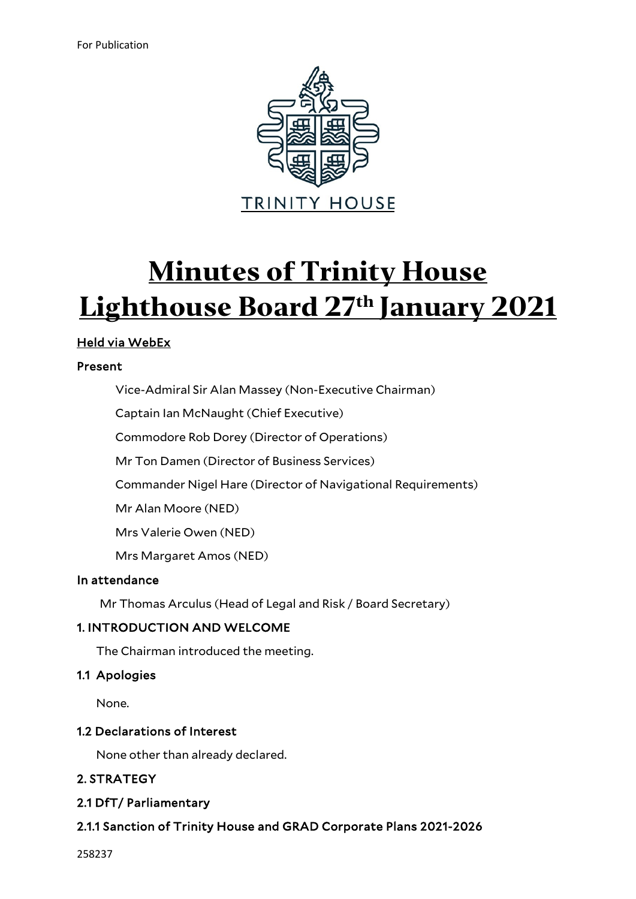

# **Minutes of Trinity House Lighthouse Board 27th January 2021**

# Held via WebEx

## Present

Vice-Admiral Sir Alan Massey (Non-Executive Chairman)

Captain Ian McNaught (Chief Executive)

Commodore Rob Dorey (Director of Operations)

Mr Ton Damen (Director of Business Services)

Commander Nigel Hare (Director of Navigational Requirements)

Mr Alan Moore (NED)

Mrs Valerie Owen (NED)

Mrs Margaret Amos (NED)

## In attendance

Mr Thomas Arculus (Head of Legal and Risk / Board Secretary)

## 1. INTRODUCTION AND WELCOME

The Chairman introduced the meeting.

## 1.1 Apologies

None.

## 1.2 Declarations of Interest

None other than already declared.

# 2. STRATEGY

## 2.1 DfT/ Parliamentary

# 2.1.1 Sanction of Trinity House and GRAD Corporate Plans 2021-2026

258237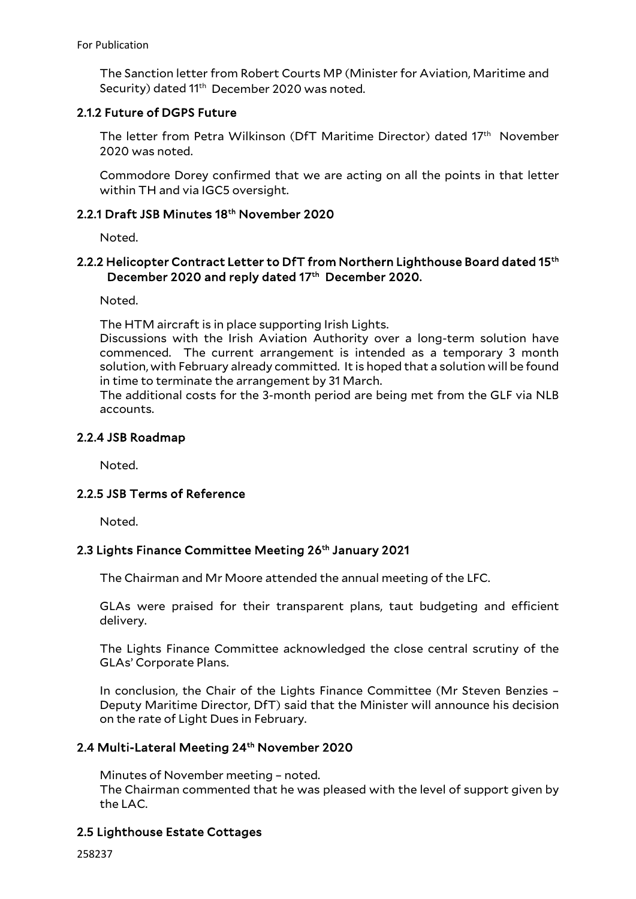The Sanction letter from Robert Courts MP (Minister for Aviation, Maritime and Security) dated 11<sup>th</sup> December 2020 was noted.

## 2.1.2 Future of DGPS Future

The letter from Petra Wilkinson (DfT Maritime Director) dated 17<sup>th</sup> November 2020 was noted.

Commodore Dorey confirmed that we are acting on all the points in that letter within TH and via IGC5 oversight.

## 2.2.1 Draft JSB Minutes 18th November 2020

Noted.

## 2.2.2 Helicopter Contract Letter to DfT from Northern Lighthouse Board dated 15th December 2020 and reply dated 17th December 2020.

Noted.

The HTM aircraft is in place supporting Irish Lights.

Discussions with the Irish Aviation Authority over a long-term solution have commenced. The current arrangement is intended as a temporary 3 month solution, with February already committed. It is hoped that a solution will be found in time to terminate the arrangement by 31 March.

The additional costs for the 3-month period are being met from the GLF via NLB accounts.

# 2.2.4 JSB Roadmap

Noted.

## 2.2.5 JSB Terms of Reference

Noted.

## 2.3 Lights Finance Committee Meeting 26<sup>th</sup> January 2021

The Chairman and Mr Moore attended the annual meeting of the LFC.

GLAs were praised for their transparent plans, taut budgeting and efficient delivery.

The Lights Finance Committee acknowledged the close central scrutiny of the GLAs' Corporate Plans.

In conclusion, the Chair of the Lights Finance Committee (Mr Steven Benzies – Deputy Maritime Director, DfT) said that the Minister will announce his decision on the rate of Light Dues in February.

## 2.4 Multi-Lateral Meeting 24<sup>th</sup> November 2020

Minutes of November meeting – noted. The Chairman commented that he was pleased with the level of support given by the LAC.

# 2.5 Lighthouse Estate Cottages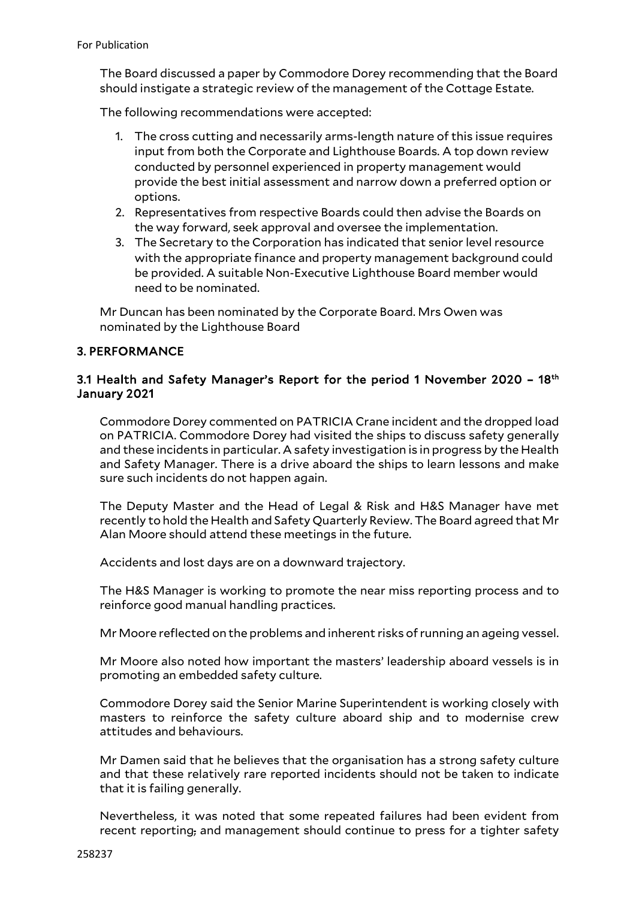The Board discussed a paper by Commodore Dorey recommending that the Board should instigate a strategic review of the management of the Cottage Estate.

The following recommendations were accepted:

- 1. The cross cutting and necessarily arms-length nature of this issue requires input from both the Corporate and Lighthouse Boards. A top down review conducted by personnel experienced in property management would provide the best initial assessment and narrow down a preferred option or options.
- 2. Representatives from respective Boards could then advise the Boards on the way forward, seek approval and oversee the implementation.
- 3. The Secretary to the Corporation has indicated that senior level resource with the appropriate finance and property management background could be provided. A suitable Non-Executive Lighthouse Board member would need to be nominated.

Mr Duncan has been nominated by the Corporate Board. Mrs Owen was nominated by the Lighthouse Board

# 3. PERFORMANCE

## 3.1 Health and Safety Manager's Report for the period 1 November 2020 - 18<sup>th</sup> January 2021

Commodore Dorey commented on PATRICIA Crane incident and the dropped load on PATRICIA. Commodore Dorey had visited the ships to discuss safety generally and these incidents in particular. A safety investigation is in progress by the Health and Safety Manager. There is a drive aboard the ships to learn lessons and make sure such incidents do not happen again.

The Deputy Master and the Head of Legal & Risk and H&S Manager have met recently to hold the Health and Safety Quarterly Review. The Board agreed that Mr Alan Moore should attend these meetings in the future.

Accidents and lost days are on a downward trajectory.

The H&S Manager is working to promote the near miss reporting process and to reinforce good manual handling practices.

Mr Moore reflected on the problems and inherent risks of running an ageing vessel.

Mr Moore also noted how important the masters' leadership aboard vessels is in promoting an embedded safety culture.

Commodore Dorey said the Senior Marine Superintendent is working closely with masters to reinforce the safety culture aboard ship and to modernise crew attitudes and behaviours.

Mr Damen said that he believes that the organisation has a strong safety culture and that these relatively rare reported incidents should not be taken to indicate that it is failing generally.

Nevertheless, it was noted that some repeated failures had been evident from recent reporting, and management should continue to press for a tighter safety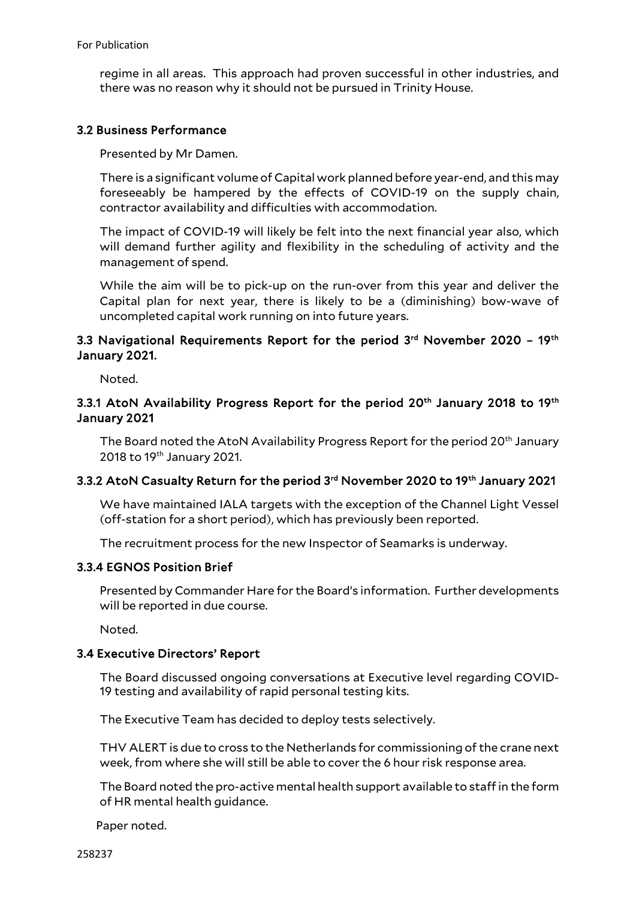regime in all areas. This approach had proven successful in other industries, and there was no reason why it should not be pursued in Trinity House.

#### 3.2 Business Performance

Presented by Mr Damen.

There is a significant volume of Capital work planned before year-end, and this may foreseeably be hampered by the effects of COVID-19 on the supply chain, contractor availability and difficulties with accommodation.

The impact of COVID-19 will likely be felt into the next financial year also, which will demand further agility and flexibility in the scheduling of activity and the management of spend.

While the aim will be to pick-up on the run-over from this year and deliver the Capital plan for next year, there is likely to be a (diminishing) bow-wave of uncompleted capital work running on into future years.

## 3.3 Navigational Requirements Report for the period 3rd November 2020 - 19th January 2021.

Noted.

## 3.3.1 AtoN Availability Progress Report for the period 20<sup>th</sup> January 2018 to 19<sup>th</sup> January 2021

The Board noted the AtoN Availability Progress Report for the period 20<sup>th</sup> January 2018 to 19th January 2021.

## 3.3.2 AtoN Casualty Return for the period 3rd November 2020 to 19th January 2021

We have maintained IALA targets with the exception of the Channel Light Vessel (off-station for a short period), which has previously been reported.

The recruitment process for the new Inspector of Seamarks is underway.

#### 3.3.4 EGNOS Position Brief

Presented by Commander Hare for the Board's information. Further developments will be reported in due course.

Noted.

#### 3.4 Executive Directors' Report

The Board discussed ongoing conversations at Executive level regarding COVID-19 testing and availability of rapid personal testing kits.

The Executive Team has decided to deploy tests selectively.

THV ALERT is due to cross to the Netherlands for commissioning of the crane next week, from where she will still be able to cover the 6 hour risk response area.

The Board noted the pro-active mental health support available to staff in the form of HR mental health guidance.

Paper noted.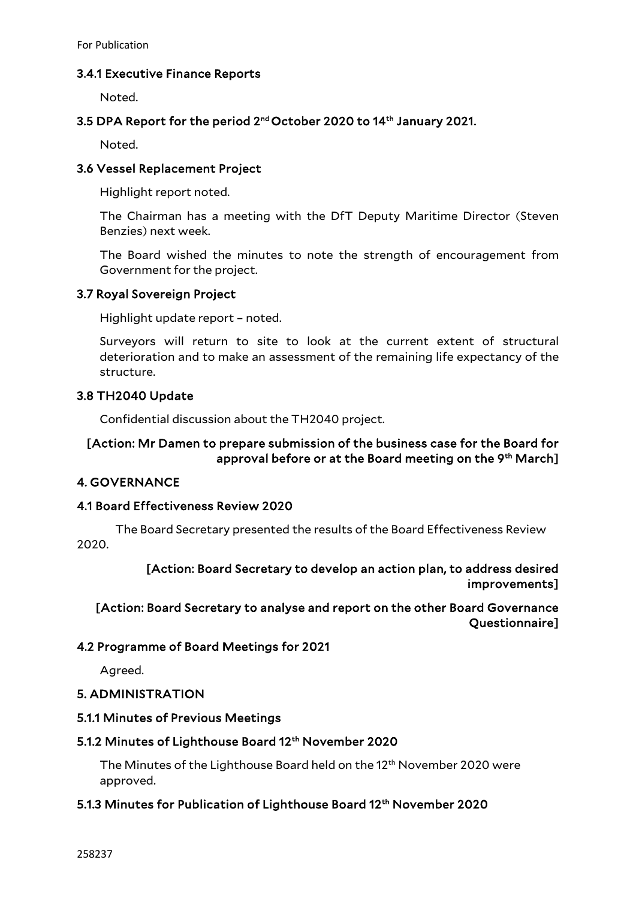For Publication

## 3.4.1 Executive Finance Reports

Noted.

## 3.5 DPA Report for the period 2nd October 2020 to 14th January 2021.

Noted.

## 3.6 Vessel Replacement Project

Highlight report noted.

The Chairman has a meeting with the DfT Deputy Maritime Director (Steven Benzies) next week.

The Board wished the minutes to note the strength of encouragement from Government for the project.

## 3.7 Royal Sovereign Project

Highlight update report – noted.

Surveyors will return to site to look at the current extent of structural deterioration and to make an assessment of the remaining life expectancy of the structure.

## 3.8 TH2040 Update

Confidential discussion about the TH2040 project.

## [Action: Mr Damen to prepare submission of the business case for the Board for approval before or at the Board meeting on the 9th March]

## 4. GOVERNANCE

## 4.1 Board Effectiveness Review 2020

 The Board Secretary presented the results of the Board Effectiveness Review 2020.

> [Action: Board Secretary to develop an action plan, to address desired improvements]

# [Action: Board Secretary to analyse and report on the other Board Governance Questionnaire]

## 4.2 Programme of Board Meetings for 2021

Agreed.

## 5. ADMINISTRATION

#### 5.1.1 Minutes of Previous Meetings

## 5.1.2 Minutes of Lighthouse Board 12<sup>th</sup> November 2020

The Minutes of the Lighthouse Board held on the 12th November 2020 were approved.

## 5.1.3 Minutes for Publication of Lighthouse Board 12<sup>th</sup> November 2020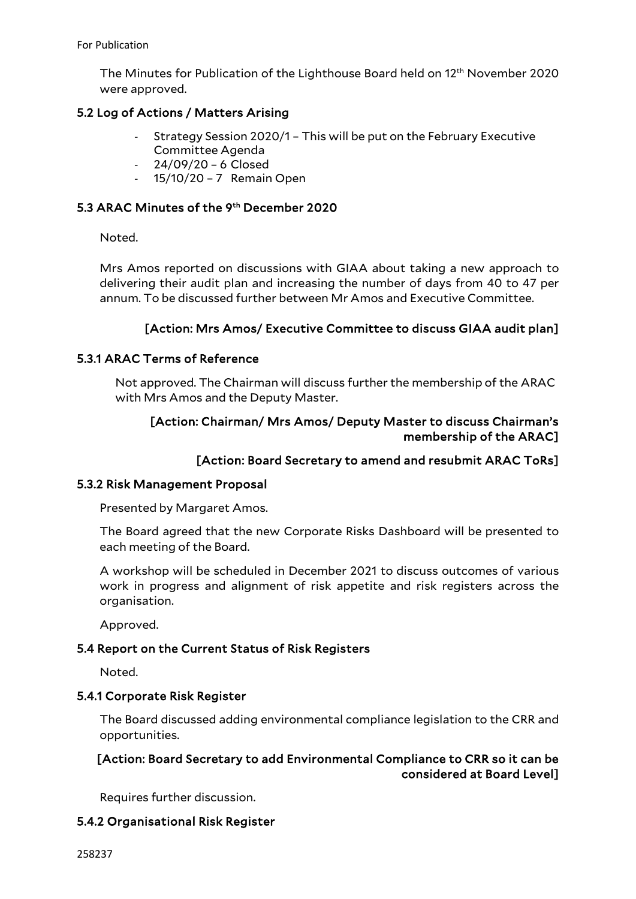The Minutes for Publication of the Lighthouse Board held on 12th November 2020 were approved.

## 5.2 Log of Actions / Matters Arising

- Strategy Session 2020/1 This will be put on the February Executive Committee Agenda
- 24/09/20 6 Closed
- 15/10/20 7 Remain Open

## 5.3 ARAC Minutes of the 9th December 2020

Noted.

Mrs Amos reported on discussions with GIAA about taking a new approach to delivering their audit plan and increasing the number of days from 40 to 47 per annum. To be discussed further between Mr Amos and Executive Committee.

## [Action: Mrs Amos/ Executive Committee to discuss GIAA audit plan]

## 5.3.1 ARAC Terms of Reference

Not approved. The Chairman will discuss further the membership of the ARAC with Mrs Amos and the Deputy Master.

## [Action: Chairman/ Mrs Amos/ Deputy Master to discuss Chairman's membership of the ARAC]

## [Action: Board Secretary to amend and resubmit ARAC ToRs]

#### 5.3.2 Risk Management Proposal

Presented by Margaret Amos.

The Board agreed that the new Corporate Risks Dashboard will be presented to each meeting of the Board.

A workshop will be scheduled in December 2021 to discuss outcomes of various work in progress and alignment of risk appetite and risk registers across the organisation.

Approved.

#### 5.4 Report on the Current Status of Risk Registers

Noted.

#### 5.4.1 Corporate Risk Register

The Board discussed adding environmental compliance legislation to the CRR and opportunities.

# [Action: Board Secretary to add Environmental Compliance to CRR so it can be considered at Board Level]

Requires further discussion.

## 5.4.2 Organisational Risk Register